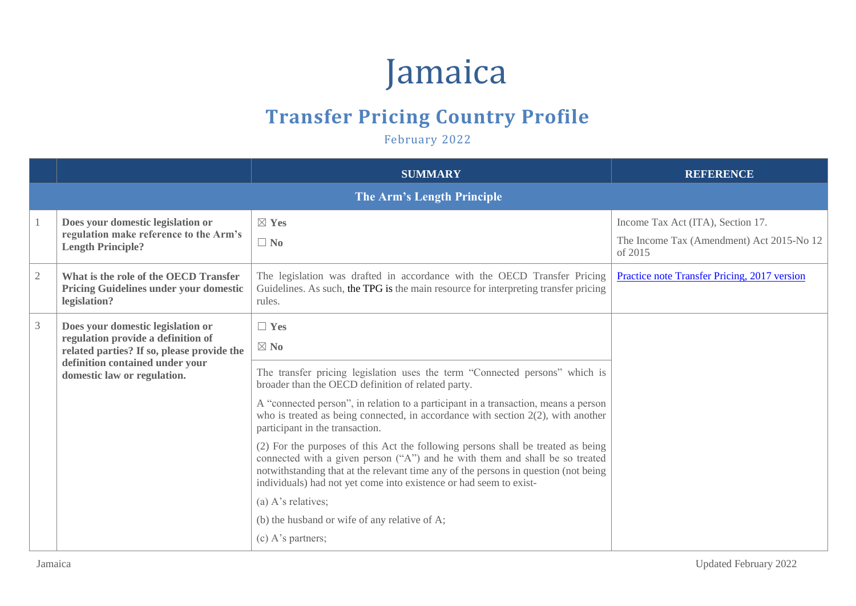## Jamaica

## **Transfer Pricing Country Profile**

February 2022

|            |                                                                                                                                                                                         | <b>SUMMARY</b>                                                                                                                                                                                                                                                                                                                | <b>REFERENCE</b>                                                                          |
|------------|-----------------------------------------------------------------------------------------------------------------------------------------------------------------------------------------|-------------------------------------------------------------------------------------------------------------------------------------------------------------------------------------------------------------------------------------------------------------------------------------------------------------------------------|-------------------------------------------------------------------------------------------|
|            |                                                                                                                                                                                         |                                                                                                                                                                                                                                                                                                                               |                                                                                           |
|            | Does your domestic legislation or<br>regulation make reference to the Arm's<br><b>Length Principle?</b>                                                                                 | $\boxtimes$ Yes<br>$\Box$ No                                                                                                                                                                                                                                                                                                  | Income Tax Act (ITA), Section 17.<br>The Income Tax (Amendment) Act 2015-No 12<br>of 2015 |
| $\sqrt{2}$ | What is the role of the OECD Transfer<br>Pricing Guidelines under your domestic<br>legislation?                                                                                         | The legislation was drafted in accordance with the OECD Transfer Pricing<br>Guidelines. As such, the TPG is the main resource for interpreting transfer pricing<br>rules.                                                                                                                                                     | Practice note Transfer Pricing, 2017 version                                              |
| 3          | Does your domestic legislation or<br>regulation provide a definition of<br>related parties? If so, please provide the<br>definition contained under your<br>domestic law or regulation. | $\Box$ Yes<br>$\boxtimes$ No                                                                                                                                                                                                                                                                                                  |                                                                                           |
|            |                                                                                                                                                                                         | The transfer pricing legislation uses the term "Connected persons" which is<br>broader than the OECD definition of related party.                                                                                                                                                                                             |                                                                                           |
|            |                                                                                                                                                                                         | A "connected person", in relation to a participant in a transaction, means a person<br>who is treated as being connected, in accordance with section $2(2)$ , with another<br>participant in the transaction.                                                                                                                 |                                                                                           |
|            |                                                                                                                                                                                         | (2) For the purposes of this Act the following persons shall be treated as being<br>connected with a given person ("A") and he with them and shall be so treated<br>notwithstanding that at the relevant time any of the persons in question (not being<br>individuals) had not yet come into existence or had seem to exist- |                                                                                           |
|            |                                                                                                                                                                                         | (a) A's relatives;                                                                                                                                                                                                                                                                                                            |                                                                                           |
|            |                                                                                                                                                                                         | (b) the husband or wife of any relative of A;                                                                                                                                                                                                                                                                                 |                                                                                           |
|            |                                                                                                                                                                                         | $(c)$ A's partners;                                                                                                                                                                                                                                                                                                           |                                                                                           |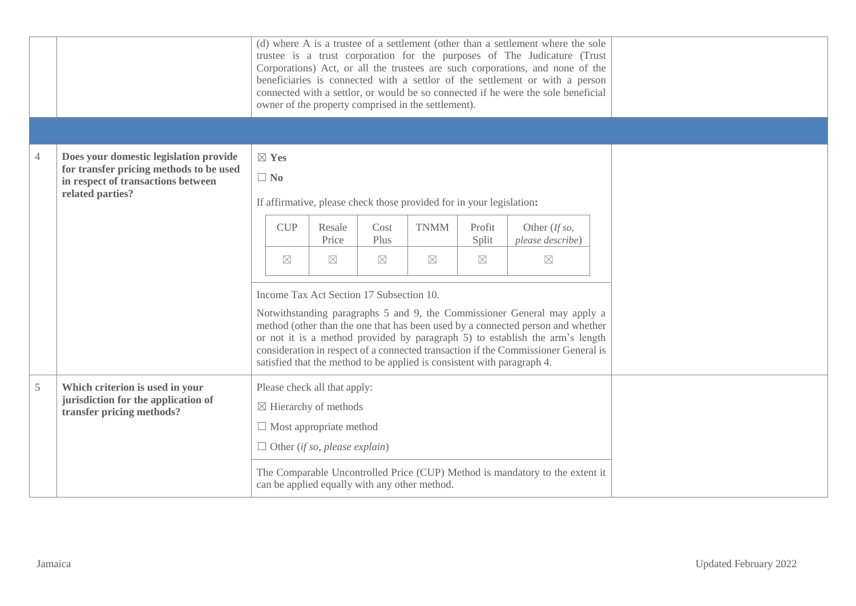|               |                                                                                                                                             |                                                                                                                                            |                                                                                                                                                                                                                                                                                                                                                                                                                                                          |                 |              | owner of the property comprised in the settlement).                  |                 | (d) where A is a trustee of a settlement (other than a settlement where the sole<br>trustee is a trust corporation for the purposes of The Judicature (Trust<br>Corporations) Act, or all the trustees are such corporations, and none of the<br>beneficiaries is connected with a settlor of the settlement or with a person<br>connected with a settlor, or would be so connected if he were the sole beneficial |  |  |  |
|---------------|---------------------------------------------------------------------------------------------------------------------------------------------|--------------------------------------------------------------------------------------------------------------------------------------------|----------------------------------------------------------------------------------------------------------------------------------------------------------------------------------------------------------------------------------------------------------------------------------------------------------------------------------------------------------------------------------------------------------------------------------------------------------|-----------------|--------------|----------------------------------------------------------------------|-----------------|--------------------------------------------------------------------------------------------------------------------------------------------------------------------------------------------------------------------------------------------------------------------------------------------------------------------------------------------------------------------------------------------------------------------|--|--|--|
|               |                                                                                                                                             |                                                                                                                                            |                                                                                                                                                                                                                                                                                                                                                                                                                                                          |                 |              |                                                                      |                 |                                                                                                                                                                                                                                                                                                                                                                                                                    |  |  |  |
| 4             | Does your domestic legislation provide<br>for transfer pricing methods to be used<br>in respect of transactions between<br>related parties? |                                                                                                                                            | $\boxtimes$ Yes<br>$\Box$ No                                                                                                                                                                                                                                                                                                                                                                                                                             |                 |              | If affirmative, please check those provided for in your legislation: |                 |                                                                                                                                                                                                                                                                                                                                                                                                                    |  |  |  |
|               |                                                                                                                                             |                                                                                                                                            | <b>CUP</b>                                                                                                                                                                                                                                                                                                                                                                                                                                               | Resale<br>Price | Cost<br>Plus | <b>TNMM</b>                                                          | Profit<br>Split | Other (If so,<br>please describe)                                                                                                                                                                                                                                                                                                                                                                                  |  |  |  |
|               |                                                                                                                                             |                                                                                                                                            | $\boxtimes$                                                                                                                                                                                                                                                                                                                                                                                                                                              | $\times$        | $\times$     | $\times$                                                             | $\times$        | $\boxtimes$                                                                                                                                                                                                                                                                                                                                                                                                        |  |  |  |
|               |                                                                                                                                             |                                                                                                                                            | Income Tax Act Section 17 Subsection 10.<br>Notwithstanding paragraphs 5 and 9, the Commissioner General may apply a<br>method (other than the one that has been used by a connected person and whether<br>or not it is a method provided by paragraph 5) to establish the arm's length<br>consideration in respect of a connected transaction if the Commissioner General is<br>satisfied that the method to be applied is consistent with paragraph 4. |                 |              |                                                                      |                 |                                                                                                                                                                                                                                                                                                                                                                                                                    |  |  |  |
| $\mathfrak s$ | Which criterion is used in your<br>jurisdiction for the application of<br>transfer pricing methods?                                         | Please check all that apply:<br>$\boxtimes$ Hierarchy of methods<br>$\Box$ Most appropriate method<br>$\Box$ Other (if so, please explain) |                                                                                                                                                                                                                                                                                                                                                                                                                                                          |                 |              |                                                                      |                 |                                                                                                                                                                                                                                                                                                                                                                                                                    |  |  |  |
|               | The Comparable Uncontrolled Price (CUP) Method is mandatory to the extent it<br>can be applied equally with any other method.               |                                                                                                                                            |                                                                                                                                                                                                                                                                                                                                                                                                                                                          |                 |              |                                                                      |                 |                                                                                                                                                                                                                                                                                                                                                                                                                    |  |  |  |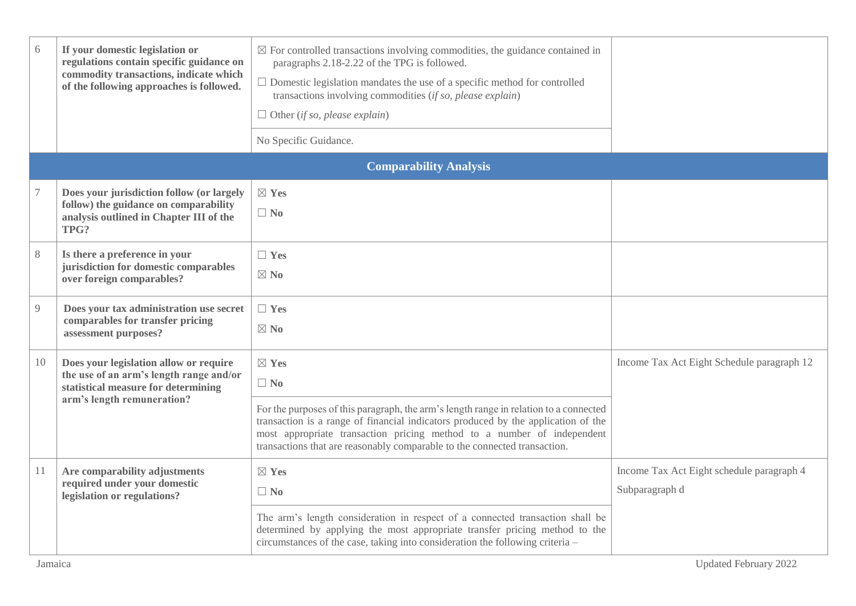| 6     | If your domestic legislation or<br>regulations contain specific guidance on<br>commodity transactions, indicate which<br>of the following approaches is followed. | $\boxtimes$ For controlled transactions involving commodities, the guidance contained in<br>paragraphs 2.18-2.22 of the TPG is followed.<br>$\Box$ Domestic legislation mandates the use of a specific method for controlled<br>transactions involving commodities (if so, please explain)<br>$\Box$ Other (if so, please explain)<br>No Specific Guidance.       |                                                             |
|-------|-------------------------------------------------------------------------------------------------------------------------------------------------------------------|-------------------------------------------------------------------------------------------------------------------------------------------------------------------------------------------------------------------------------------------------------------------------------------------------------------------------------------------------------------------|-------------------------------------------------------------|
|       |                                                                                                                                                                   | <b>Comparability Analysis</b>                                                                                                                                                                                                                                                                                                                                     |                                                             |
|       | Does your jurisdiction follow (or largely<br>follow) the guidance on comparability<br>analysis outlined in Chapter III of the<br>TPG?                             | $\boxtimes$ Yes<br>$\Box$ No                                                                                                                                                                                                                                                                                                                                      |                                                             |
| $8\,$ | Is there a preference in your<br>jurisdiction for domestic comparables<br>over foreign comparables?                                                               | $\Box$ Yes<br>$\boxtimes$ No                                                                                                                                                                                                                                                                                                                                      |                                                             |
| 9     | Does your tax administration use secret<br>comparables for transfer pricing<br>assessment purposes?                                                               | $\Box$ Yes<br>$\boxtimes$ No                                                                                                                                                                                                                                                                                                                                      |                                                             |
| 10    | Does your legislation allow or require<br>the use of an arm's length range and/or<br>statistical measure for determining<br>arm's length remuneration?            | $\boxtimes$ Yes<br>$\Box$ No<br>For the purposes of this paragraph, the arm's length range in relation to a connected<br>transaction is a range of financial indicators produced by the application of the<br>most appropriate transaction pricing method to a number of independent<br>transactions that are reasonably comparable to the connected transaction. | Income Tax Act Eight Schedule paragraph 12                  |
| 11    | Are comparability adjustments<br>required under your domestic<br>legislation or regulations?                                                                      | $\boxtimes$ Yes<br>$\Box$ No<br>The arm's length consideration in respect of a connected transaction shall be<br>determined by applying the most appropriate transfer pricing method to the<br>circumstances of the case, taking into consideration the following criteria -                                                                                      | Income Tax Act Eight schedule paragraph 4<br>Subparagraph d |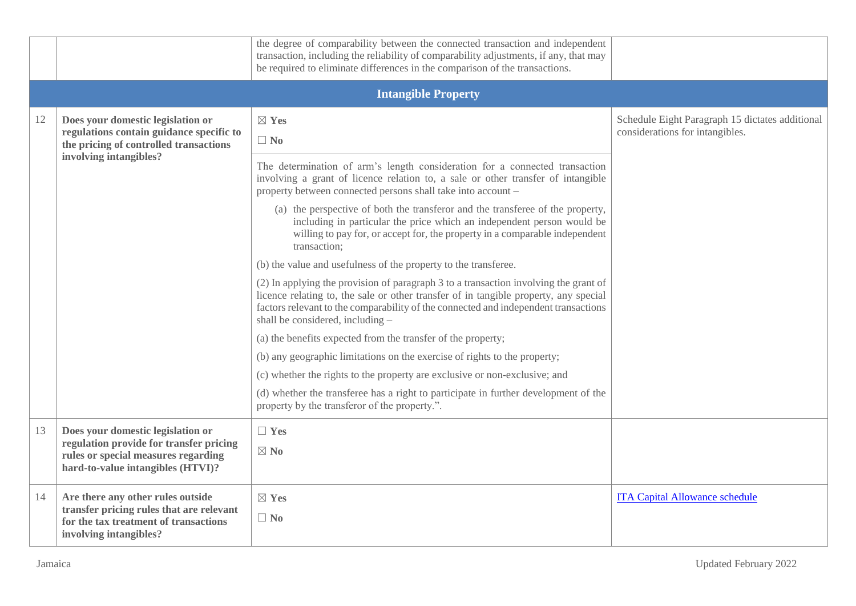|    |                                                                                                                                                   | the degree of comparability between the connected transaction and independent<br>transaction, including the reliability of comparability adjustments, if any, that may<br>be required to eliminate differences in the comparison of the transactions.                                                   |                                                                                    |
|----|---------------------------------------------------------------------------------------------------------------------------------------------------|---------------------------------------------------------------------------------------------------------------------------------------------------------------------------------------------------------------------------------------------------------------------------------------------------------|------------------------------------------------------------------------------------|
|    |                                                                                                                                                   | <b>Intangible Property</b>                                                                                                                                                                                                                                                                              |                                                                                    |
| 12 | Does your domestic legislation or<br>regulations contain guidance specific to<br>the pricing of controlled transactions<br>involving intangibles? | $\boxtimes$ Yes<br>$\Box$ No                                                                                                                                                                                                                                                                            | Schedule Eight Paragraph 15 dictates additional<br>considerations for intangibles. |
|    |                                                                                                                                                   | The determination of arm's length consideration for a connected transaction<br>involving a grant of licence relation to, a sale or other transfer of intangible<br>property between connected persons shall take into account -                                                                         |                                                                                    |
|    |                                                                                                                                                   | (a) the perspective of both the transferor and the transferee of the property,<br>including in particular the price which an independent person would be<br>willing to pay for, or accept for, the property in a comparable independent<br>transaction;                                                 |                                                                                    |
|    |                                                                                                                                                   | (b) the value and usefulness of the property to the transferee.                                                                                                                                                                                                                                         |                                                                                    |
|    |                                                                                                                                                   | (2) In applying the provision of paragraph 3 to a transaction involving the grant of<br>licence relating to, the sale or other transfer of in tangible property, any special<br>factors relevant to the comparability of the connected and independent transactions<br>shall be considered, including - |                                                                                    |
|    |                                                                                                                                                   | (a) the benefits expected from the transfer of the property;                                                                                                                                                                                                                                            |                                                                                    |
|    |                                                                                                                                                   | (b) any geographic limitations on the exercise of rights to the property;                                                                                                                                                                                                                               |                                                                                    |
|    |                                                                                                                                                   | (c) whether the rights to the property are exclusive or non-exclusive; and                                                                                                                                                                                                                              |                                                                                    |
|    |                                                                                                                                                   | (d) whether the transferee has a right to participate in further development of the<br>property by the transferor of the property.".                                                                                                                                                                    |                                                                                    |
| 13 | Does your domestic legislation or                                                                                                                 | $\Box$ Yes                                                                                                                                                                                                                                                                                              |                                                                                    |
|    | regulation provide for transfer pricing<br>rules or special measures regarding<br>hard-to-value intangibles (HTVI)?                               | $\boxtimes$ No                                                                                                                                                                                                                                                                                          |                                                                                    |
| 14 | Are there any other rules outside<br>transfer pricing rules that are relevant<br>for the tax treatment of transactions<br>involving intangibles?  | $\boxtimes$ Yes<br>$\Box$ No                                                                                                                                                                                                                                                                            | <b>ITA Capital Allowance schedule</b>                                              |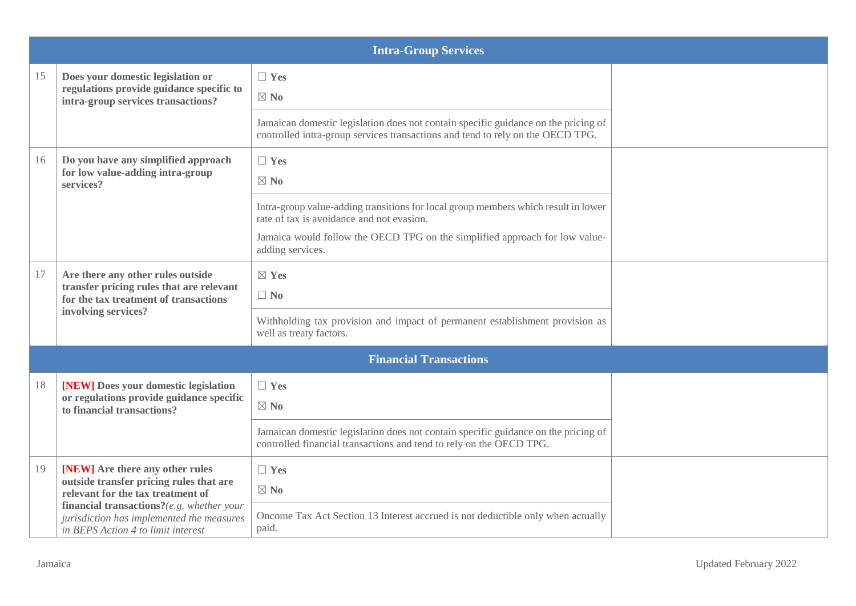|    | <b>Intra-Group Services</b>                                                                                                                                  |                                                                                                                                                                      |  |  |  |  |  |
|----|--------------------------------------------------------------------------------------------------------------------------------------------------------------|----------------------------------------------------------------------------------------------------------------------------------------------------------------------|--|--|--|--|--|
| 15 | Does your domestic legislation or<br>regulations provide guidance specific to<br>intra-group services transactions?                                          | $\Box$ Yes<br>$\boxtimes$ No                                                                                                                                         |  |  |  |  |  |
|    |                                                                                                                                                              | Jamaican domestic legislation does not contain specific guidance on the pricing of<br>controlled intra-group services transactions and tend to rely on the OECD TPG. |  |  |  |  |  |
| 16 | Do you have any simplified approach<br>for low value-adding intra-group<br>services?                                                                         | $\Box$ Yes<br>$\boxtimes$ No                                                                                                                                         |  |  |  |  |  |
|    |                                                                                                                                                              | Intra-group value-adding transitions for local group members which result in lower<br>rate of tax is avoidance and not evasion.                                      |  |  |  |  |  |
|    |                                                                                                                                                              | Jamaica would follow the OECD TPG on the simplified approach for low value-<br>adding services.                                                                      |  |  |  |  |  |
| 17 | Are there any other rules outside<br>transfer pricing rules that are relevant<br>for the tax treatment of transactions                                       | $\boxtimes$ Yes<br>$\Box$ No                                                                                                                                         |  |  |  |  |  |
|    | involving services?                                                                                                                                          | Withholding tax provision and impact of permanent establishment provision as<br>well as treaty factors.                                                              |  |  |  |  |  |
|    |                                                                                                                                                              | <b>Financial Transactions</b>                                                                                                                                        |  |  |  |  |  |
| 18 | [NEW] Does your domestic legislation<br>or regulations provide guidance specific<br>to financial transactions?                                               | $\Box$ Yes<br>$\boxtimes$ No                                                                                                                                         |  |  |  |  |  |
|    |                                                                                                                                                              | Jamaican domestic legislation does not contain specific guidance on the pricing of<br>controlled financial transactions and tend to rely on the OECD TPG.            |  |  |  |  |  |
| 19 | [NEW] Are there any other rules<br>outside transfer pricing rules that are<br>relevant for the tax treatment of<br>financial transactions?(e.g. whether your | $\Box$ Yes<br>$\boxtimes$ No                                                                                                                                         |  |  |  |  |  |
|    | jurisdiction has implemented the measures<br>in BEPS Action 4 to limit interest                                                                              | Oncome Tax Act Section 13 Interest accrued is not deductible only when actually<br>paid.                                                                             |  |  |  |  |  |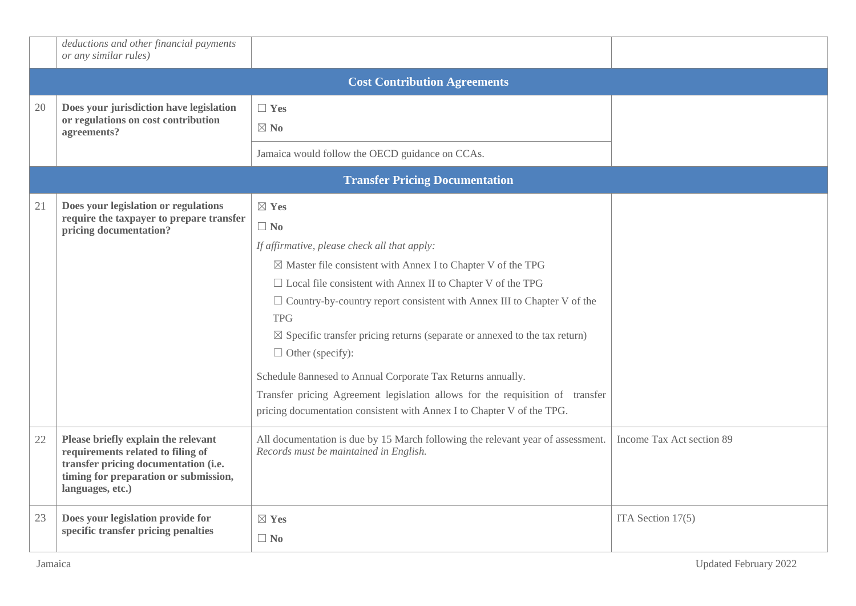|    | deductions and other financial payments<br>or any similar rules)                                                                                                              |                                                                                                                                                                                                                                                                                                                                                                                                                                                                                                                                                                                                                                                                             |                           |  |  |  |  |
|----|-------------------------------------------------------------------------------------------------------------------------------------------------------------------------------|-----------------------------------------------------------------------------------------------------------------------------------------------------------------------------------------------------------------------------------------------------------------------------------------------------------------------------------------------------------------------------------------------------------------------------------------------------------------------------------------------------------------------------------------------------------------------------------------------------------------------------------------------------------------------------|---------------------------|--|--|--|--|
|    | <b>Cost Contribution Agreements</b>                                                                                                                                           |                                                                                                                                                                                                                                                                                                                                                                                                                                                                                                                                                                                                                                                                             |                           |  |  |  |  |
| 20 | Does your jurisdiction have legislation<br>or regulations on cost contribution<br>agreements?                                                                                 | $\Box$ Yes<br>$\boxtimes$ No                                                                                                                                                                                                                                                                                                                                                                                                                                                                                                                                                                                                                                                |                           |  |  |  |  |
|    |                                                                                                                                                                               | Jamaica would follow the OECD guidance on CCAs.                                                                                                                                                                                                                                                                                                                                                                                                                                                                                                                                                                                                                             |                           |  |  |  |  |
|    |                                                                                                                                                                               | <b>Transfer Pricing Documentation</b>                                                                                                                                                                                                                                                                                                                                                                                                                                                                                                                                                                                                                                       |                           |  |  |  |  |
| 21 | Does your legislation or regulations<br>require the taxpayer to prepare transfer<br>pricing documentation?                                                                    | $\boxtimes$ Yes<br>$\Box$ No<br>If affirmative, please check all that apply:<br>$\boxtimes$ Master file consistent with Annex I to Chapter V of the TPG<br>$\Box$ Local file consistent with Annex II to Chapter V of the TPG<br>$\Box$ Country-by-country report consistent with Annex III to Chapter V of the<br><b>TPG</b><br>$\boxtimes$ Specific transfer pricing returns (separate or annexed to the tax return)<br>$\Box$ Other (specify):<br>Schedule 8annesed to Annual Corporate Tax Returns annually.<br>Transfer pricing Agreement legislation allows for the requisition of transfer<br>pricing documentation consistent with Annex I to Chapter V of the TPG. |                           |  |  |  |  |
| 22 | Please briefly explain the relevant<br>requirements related to filing of<br>transfer pricing documentation (i.e.<br>timing for preparation or submission,<br>languages, etc.) | All documentation is due by 15 March following the relevant year of assessment.<br>Records must be maintained in English.                                                                                                                                                                                                                                                                                                                                                                                                                                                                                                                                                   | Income Tax Act section 89 |  |  |  |  |
| 23 | Does your legislation provide for<br>specific transfer pricing penalties                                                                                                      | $\boxtimes$ Yes<br>$\Box$ No                                                                                                                                                                                                                                                                                                                                                                                                                                                                                                                                                                                                                                                | ITA Section 17(5)         |  |  |  |  |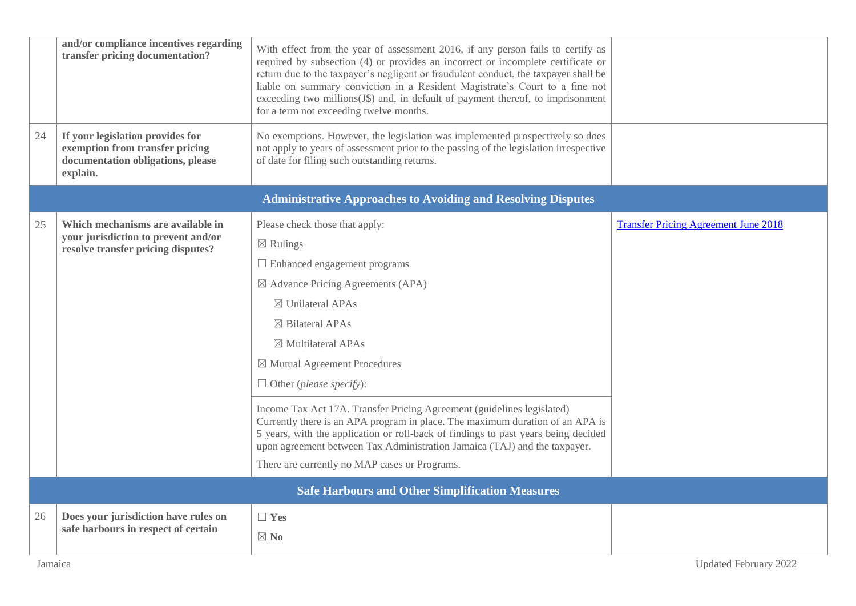|    | and/or compliance incentives regarding<br>transfer pricing documentation?                                            | With effect from the year of assessment 2016, if any person fails to certify as<br>required by subsection (4) or provides an incorrect or incomplete certificate or<br>return due to the taxpayer's negligent or fraudulent conduct, the taxpayer shall be<br>liable on summary conviction in a Resident Magistrate's Court to a fine not<br>exceeding two millions(J\$) and, in default of payment thereof, to imprisonment<br>for a term not exceeding twelve months.<br>No exemptions. However, the legislation was implemented prospectively so does |                                             |
|----|----------------------------------------------------------------------------------------------------------------------|----------------------------------------------------------------------------------------------------------------------------------------------------------------------------------------------------------------------------------------------------------------------------------------------------------------------------------------------------------------------------------------------------------------------------------------------------------------------------------------------------------------------------------------------------------|---------------------------------------------|
| 24 | If your legislation provides for<br>exemption from transfer pricing<br>documentation obligations, please<br>explain. | not apply to years of assessment prior to the passing of the legislation irrespective<br>of date for filing such outstanding returns.                                                                                                                                                                                                                                                                                                                                                                                                                    |                                             |
|    |                                                                                                                      | <b>Administrative Approaches to Avoiding and Resolving Disputes</b>                                                                                                                                                                                                                                                                                                                                                                                                                                                                                      |                                             |
| 25 | Which mechanisms are available in<br>your jurisdiction to prevent and/or                                             | Please check those that apply:<br>$\boxtimes$ Rulings                                                                                                                                                                                                                                                                                                                                                                                                                                                                                                    | <b>Transfer Pricing Agreement June 2018</b> |
|    | resolve transfer pricing disputes?                                                                                   | $\Box$ Enhanced engagement programs                                                                                                                                                                                                                                                                                                                                                                                                                                                                                                                      |                                             |
|    |                                                                                                                      | $\boxtimes$ Advance Pricing Agreements (APA)                                                                                                                                                                                                                                                                                                                                                                                                                                                                                                             |                                             |
|    |                                                                                                                      | $\boxtimes$ Unilateral APAs                                                                                                                                                                                                                                                                                                                                                                                                                                                                                                                              |                                             |
|    |                                                                                                                      | $\boxtimes$ Bilateral APAs                                                                                                                                                                                                                                                                                                                                                                                                                                                                                                                               |                                             |
|    |                                                                                                                      | $\boxtimes$ Multilateral APAs                                                                                                                                                                                                                                                                                                                                                                                                                                                                                                                            |                                             |
|    |                                                                                                                      | $\boxtimes$ Mutual Agreement Procedures                                                                                                                                                                                                                                                                                                                                                                                                                                                                                                                  |                                             |
|    |                                                                                                                      | $\Box$ Other (please specify):                                                                                                                                                                                                                                                                                                                                                                                                                                                                                                                           |                                             |
|    |                                                                                                                      | Income Tax Act 17A. Transfer Pricing Agreement (guidelines legislated)<br>Currently there is an APA program in place. The maximum duration of an APA is<br>5 years, with the application or roll-back of findings to past years being decided<br>upon agreement between Tax Administration Jamaica (TAJ) and the taxpayer.<br>There are currently no MAP cases or Programs.                                                                                                                                                                              |                                             |
|    |                                                                                                                      | <b>Safe Harbours and Other Simplification Measures</b>                                                                                                                                                                                                                                                                                                                                                                                                                                                                                                   |                                             |
| 26 | Does your jurisdiction have rules on                                                                                 | $\Box$ Yes                                                                                                                                                                                                                                                                                                                                                                                                                                                                                                                                               |                                             |
|    | safe harbours in respect of certain                                                                                  | $\boxtimes$ No                                                                                                                                                                                                                                                                                                                                                                                                                                                                                                                                           |                                             |
|    |                                                                                                                      |                                                                                                                                                                                                                                                                                                                                                                                                                                                                                                                                                          |                                             |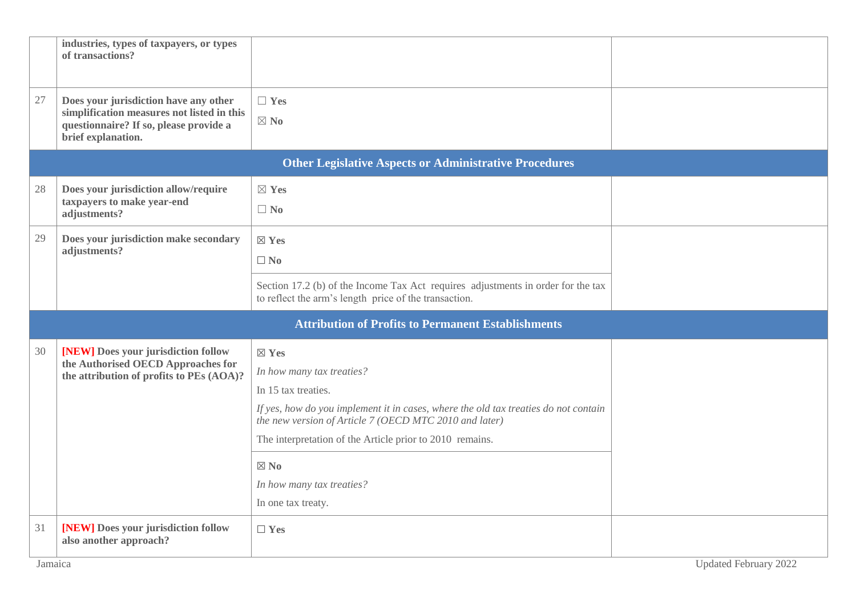|    | industries, types of taxpayers, or types<br>of transactions?                                                                                        |                                                                                                                                               |  |  |  |  |
|----|-----------------------------------------------------------------------------------------------------------------------------------------------------|-----------------------------------------------------------------------------------------------------------------------------------------------|--|--|--|--|
| 27 | Does your jurisdiction have any other<br>simplification measures not listed in this<br>questionnaire? If so, please provide a<br>brief explanation. | $\Box$ Yes<br>$\boxtimes$ No                                                                                                                  |  |  |  |  |
|    |                                                                                                                                                     | <b>Other Legislative Aspects or Administrative Procedures</b>                                                                                 |  |  |  |  |
| 28 | Does your jurisdiction allow/require                                                                                                                | $\boxtimes$ Yes                                                                                                                               |  |  |  |  |
|    | taxpayers to make year-end<br>adjustments?                                                                                                          | $\Box$ No                                                                                                                                     |  |  |  |  |
| 29 | Does your jurisdiction make secondary                                                                                                               | $\boxtimes$ Yes                                                                                                                               |  |  |  |  |
|    | adjustments?                                                                                                                                        | $\square$ No                                                                                                                                  |  |  |  |  |
|    |                                                                                                                                                     | Section 17.2 (b) of the Income Tax Act requires adjustments in order for the tax<br>to reflect the arm's length price of the transaction.     |  |  |  |  |
|    |                                                                                                                                                     | <b>Attribution of Profits to Permanent Establishments</b>                                                                                     |  |  |  |  |
| 30 | [NEW] Does your jurisdiction follow                                                                                                                 | $\boxtimes$ Yes                                                                                                                               |  |  |  |  |
|    | the Authorised OECD Approaches for<br>the attribution of profits to PEs (AOA)?                                                                      | In how many tax treaties?                                                                                                                     |  |  |  |  |
|    |                                                                                                                                                     | In 15 tax treaties.                                                                                                                           |  |  |  |  |
|    |                                                                                                                                                     | If yes, how do you implement it in cases, where the old tax treaties do not contain<br>the new version of Article 7 (OECD MTC 2010 and later) |  |  |  |  |
|    |                                                                                                                                                     | The interpretation of the Article prior to 2010 remains.                                                                                      |  |  |  |  |
|    |                                                                                                                                                     | $\boxtimes$ No                                                                                                                                |  |  |  |  |
|    |                                                                                                                                                     | In how many tax treaties?                                                                                                                     |  |  |  |  |
|    |                                                                                                                                                     | In one tax treaty.                                                                                                                            |  |  |  |  |
| 31 | [NEW] Does your jurisdiction follow<br>also another approach?                                                                                       | $\Box$ Yes                                                                                                                                    |  |  |  |  |
|    | <b>Updated February 2022</b><br>Jamaica                                                                                                             |                                                                                                                                               |  |  |  |  |